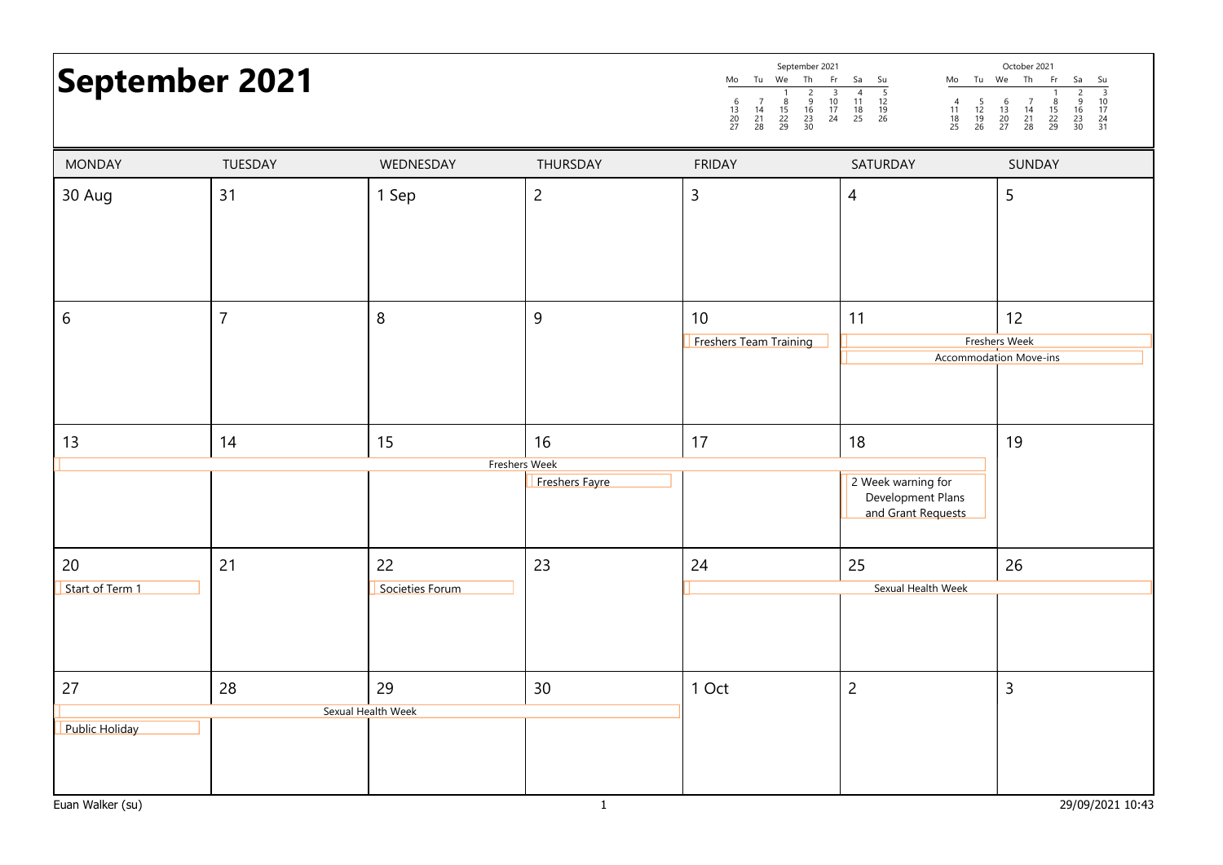# September 2021

| September 2021      |          |                |                     |          |          |          | October 2021 |          |                |                |                     |                     |                |
|---------------------|----------|----------------|---------------------|----------|----------|----------|--------------|----------|----------------|----------------|---------------------|---------------------|----------------|
| Mo                  | Τu       | We             | Th                  | Fr       | Sa       | Su       | Mo           | Тu       | We             | Th             | Fr                  | Sa                  | Su             |
| h<br>13<br>20<br>27 | 14<br>28 | 15<br>22<br>29 | q<br>16<br>23<br>30 | 10<br>24 | 18<br>25 | 19<br>26 | 18<br>25     | 19<br>26 | 13<br>20<br>27 | 14<br>21<br>28 | 8<br>15<br>22<br>29 | a<br>١b<br>23<br>30 | 10<br>24<br>31 |

| <b>MONDAY</b>                                        | TUESDAY        | WEDNESDAY                | THURSDAY             | <b>FRIDAY</b>                | SATURDAY                                                            | SUNDAY                                        |  |
|------------------------------------------------------|----------------|--------------------------|----------------------|------------------------------|---------------------------------------------------------------------|-----------------------------------------------|--|
| 30 Aug                                               | 31             | 1 Sep                    | $\overline{c}$       | 3                            | $\overline{4}$                                                      | 5                                             |  |
|                                                      |                |                          |                      |                              |                                                                     |                                               |  |
| 6                                                    | $\overline{7}$ | $\, 8$                   | 9                    | 10<br>Freshers Team Training | 11                                                                  | 12<br>Freshers Week<br>Accommodation Move-ins |  |
| 13                                                   | 14             | 15<br>Freshers Week      | 16<br>Freshers Fayre | 17                           | 18<br>2 Week warning for<br>Development Plans<br>and Grant Requests | 19                                            |  |
| 20<br>Start of Term 1                                | 21             | 22<br>Societies Forum    | 23                   | 24                           | 25<br>Sexual Health Week                                            | 26                                            |  |
| $27$<br><b>Public Holiday</b>                        | 28             | 29<br>Sexual Health Week | 30 <sup>°</sup>      | 1 Oct                        | $\overline{c}$                                                      | $\mathsf{3}$                                  |  |
| Euan Walker (su)<br>29/09/2021 10:43<br>$\mathbf{1}$ |                |                          |                      |                              |                                                                     |                                               |  |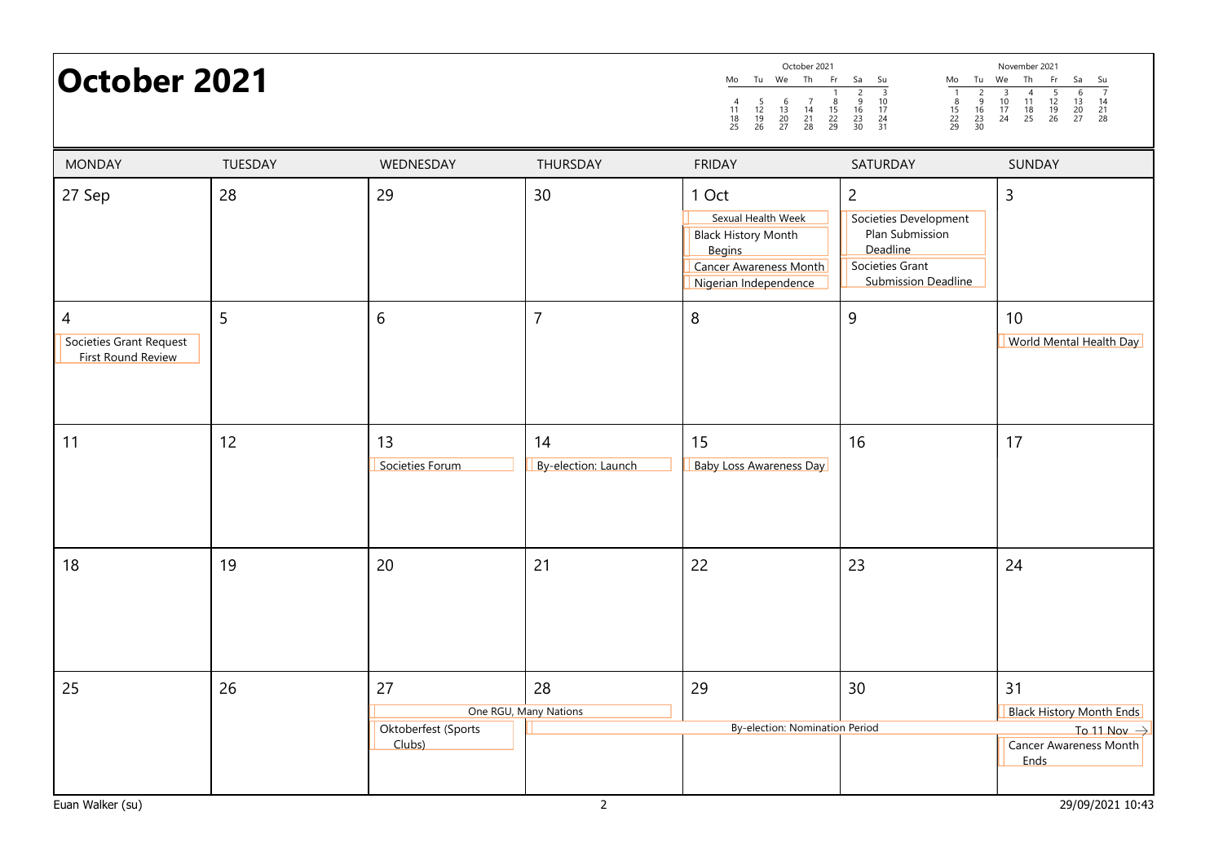| <b>October 2021</b>                                |         |                                     |                             | October 2021<br>Tu We Th<br>Fr<br>Mo<br>$\frac{5}{12}$<br>$\frac{12}{19}$<br>26<br>$\begin{array}{c} 6 \\ 13 \\ 20 \\ 27 \end{array}$<br>$\begin{array}{c} 7 \\ 14 \\ 21 \\ 28 \end{array}$<br>$\frac{8}{15}$<br>22<br>29<br>$\begin{array}{c} 4 \\ 11 \\ 18 \\ 25 \end{array}$ | Sa<br>Su<br>Tu<br>Mo<br>$\frac{3}{10}$<br>$\frac{17}{24}$<br>$\frac{24}{31}$<br>$\frac{2}{9}$<br>$\frac{16}{23}$<br>$\frac{23}{30}$<br>$\frac{8}{15}$<br>22<br>29<br>$\frac{6}{16}$<br>$\frac{16}{23}$<br>30 | November 2021<br>Th<br>Fr<br>We<br>Sa<br>Su<br>$\frac{5}{12}$<br>$\frac{12}{19}$<br>26<br>$\frac{7}{14}$<br>$\frac{14}{21}$<br>$\frac{21}{28}$<br>$\begin{array}{c}\n4 \\ 11 \\ 18 \\ 25\n\end{array}$<br>$\frac{10}{17}$<br>24<br>$\frac{13}{20}$<br>20 |
|----------------------------------------------------|---------|-------------------------------------|-----------------------------|---------------------------------------------------------------------------------------------------------------------------------------------------------------------------------------------------------------------------------------------------------------------------------|--------------------------------------------------------------------------------------------------------------------------------------------------------------------------------------------------------------|----------------------------------------------------------------------------------------------------------------------------------------------------------------------------------------------------------------------------------------------------------|
| <b>MONDAY</b>                                      | TUESDAY | WEDNESDAY                           | THURSDAY                    | <b>FRIDAY</b>                                                                                                                                                                                                                                                                   | SATURDAY                                                                                                                                                                                                     | SUNDAY                                                                                                                                                                                                                                                   |
| 27 Sep                                             | 28      | 29                                  | 30                          | 1 Oct<br>Sexual Health Week<br><b>Black History Month</b><br><b>Begins</b><br><b>Cancer Awareness Month</b><br>Nigerian Independence                                                                                                                                            | $\overline{2}$<br>Societies Development<br>Plan Submission<br>Deadline<br>Societies Grant<br><b>Submission Deadline</b>                                                                                      | 3                                                                                                                                                                                                                                                        |
| 4<br>Societies Grant Request<br>First Round Review | 5       | $\boldsymbol{6}$                    | $\overline{7}$              | 8                                                                                                                                                                                                                                                                               | $\overline{9}$                                                                                                                                                                                               | 10 <sup>°</sup><br>World Mental Health Day                                                                                                                                                                                                               |
| 11                                                 | 12      | 13<br>Societies Forum               | 14<br>By-election: Launch   | 15<br><b>Baby Loss Awareness Day</b>                                                                                                                                                                                                                                            | 16                                                                                                                                                                                                           | 17                                                                                                                                                                                                                                                       |
| 18                                                 | 19      | 20                                  | 21                          | 22                                                                                                                                                                                                                                                                              | 23                                                                                                                                                                                                           | 24                                                                                                                                                                                                                                                       |
| 25                                                 | 26      | 27<br>Oktoberfest (Sports<br>Clubs) | 28<br>One RGU, Many Nations | 29<br><b>By-election: Nomination Period</b>                                                                                                                                                                                                                                     | 30                                                                                                                                                                                                           | 31<br><b>Black History Month Ends</b><br>To 11 Nov $\rightarrow$<br><b>Cancer Awareness Month</b><br>Ends                                                                                                                                                |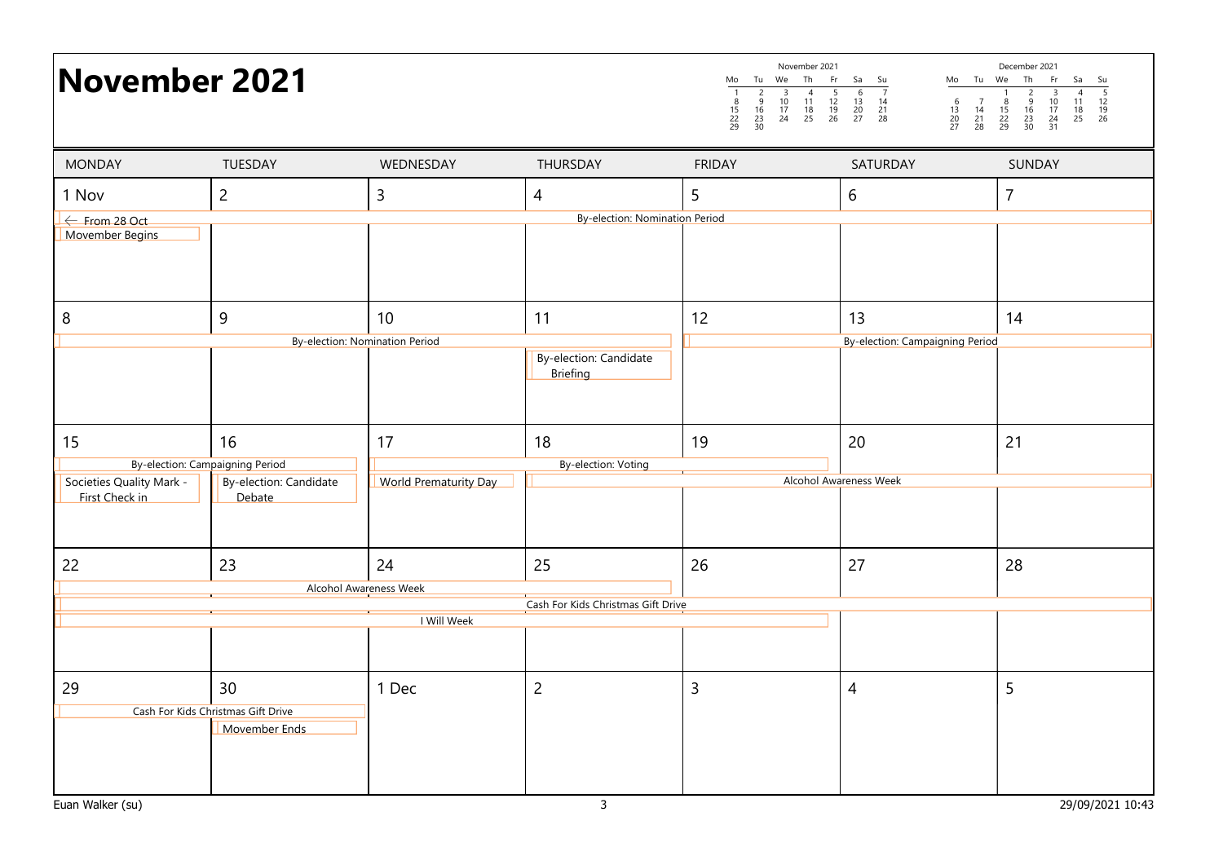| November 2021                               |                                                                                   |                                       |                                           | November 2021<br>Th<br>We<br>Fr<br>Mo<br>Tu<br>$\frac{2}{9}$<br>$\frac{16}{23}$<br>30<br>$\overline{3}$<br>$\begin{array}{c}\n4 \\ 11 \\ 18 \\ 25\n\end{array}$<br>$\frac{5}{12}$<br>$\frac{12}{19}$<br>26<br>$\frac{10}{17}$<br>24<br>$\frac{8}{15}$<br>22<br>29 | Tu We<br>Sa<br>Su<br>Mo<br>$\frac{6}{13}$<br>$\frac{20}{27}$<br>$\begin{array}{c} 14 \\ 21 \\ 28 \end{array}$<br>$\begin{array}{c} 6 \\ 13 \\ 20 \\ 27 \end{array}$<br>$\begin{array}{c} 7 \\ 14 \\ 21 \\ 28 \end{array}$ | December 2021<br>Th<br>Fr<br>Sa<br>Su<br>$\frac{1}{5}$<br>$\frac{12}{19}$<br>26<br>$\frac{4}{11}$<br>$\frac{18}{25}$<br>$\begin{array}{r} 3 \\ 10 \\ 17 \\ 24 \\ 31 \end{array}$<br>$\frac{8}{15}$<br>22<br>29<br>$\frac{5}{16}$<br>$\frac{16}{23}$<br>$\frac{23}{30}$ |
|---------------------------------------------|-----------------------------------------------------------------------------------|---------------------------------------|-------------------------------------------|-------------------------------------------------------------------------------------------------------------------------------------------------------------------------------------------------------------------------------------------------------------------|---------------------------------------------------------------------------------------------------------------------------------------------------------------------------------------------------------------------------|------------------------------------------------------------------------------------------------------------------------------------------------------------------------------------------------------------------------------------------------------------------------|
| <b>MONDAY</b>                               | TUESDAY                                                                           | WEDNESDAY                             | THURSDAY                                  | <b>FRIDAY</b>                                                                                                                                                                                                                                                     | SATURDAY                                                                                                                                                                                                                  | SUNDAY                                                                                                                                                                                                                                                                 |
| 1 Nov                                       | $\overline{2}$                                                                    | 3                                     | 4                                         | 5                                                                                                                                                                                                                                                                 | 6                                                                                                                                                                                                                         | $\overline{7}$                                                                                                                                                                                                                                                         |
| $\leftarrow$ From 28 Oct<br>Movember Begins |                                                                                   |                                       | <b>By-election: Nomination Period</b>     |                                                                                                                                                                                                                                                                   |                                                                                                                                                                                                                           |                                                                                                                                                                                                                                                                        |
| 8                                           | 9                                                                                 | 10                                    | 11                                        | 12                                                                                                                                                                                                                                                                | 13                                                                                                                                                                                                                        | 14                                                                                                                                                                                                                                                                     |
|                                             |                                                                                   | <b>By-election: Nomination Period</b> | By-election: Candidate<br><b>Briefing</b> |                                                                                                                                                                                                                                                                   | <b>By-election: Campaigning Period</b>                                                                                                                                                                                    |                                                                                                                                                                                                                                                                        |
| 15                                          | 16                                                                                | 17                                    | 18                                        | 19                                                                                                                                                                                                                                                                | 20                                                                                                                                                                                                                        | 21                                                                                                                                                                                                                                                                     |
| Societies Quality Mark -<br>First Check in  | <b>By-election: Campaigning Period</b><br><b>By-election: Candidate</b><br>Debate | <b>World Prematurity Day</b>          | <b>By-election: Voting</b>                |                                                                                                                                                                                                                                                                   | <b>Alcohol Awareness Week</b>                                                                                                                                                                                             |                                                                                                                                                                                                                                                                        |
| 22                                          | 23                                                                                | 24<br><b>Alcohol Awareness Week</b>   | 25                                        | 26                                                                                                                                                                                                                                                                | 27                                                                                                                                                                                                                        | 28                                                                                                                                                                                                                                                                     |
|                                             |                                                                                   | I Will Week                           | Cash For Kids Christmas Gift Drive        |                                                                                                                                                                                                                                                                   |                                                                                                                                                                                                                           |                                                                                                                                                                                                                                                                        |
|                                             |                                                                                   |                                       |                                           |                                                                                                                                                                                                                                                                   |                                                                                                                                                                                                                           |                                                                                                                                                                                                                                                                        |
| 29                                          | 30<br>Cash For Kids Christmas Gift Drive<br>Movember Ends                         | 1 Dec                                 | $\overline{c}$                            | $\overline{3}$                                                                                                                                                                                                                                                    | $\overline{4}$                                                                                                                                                                                                            | 5                                                                                                                                                                                                                                                                      |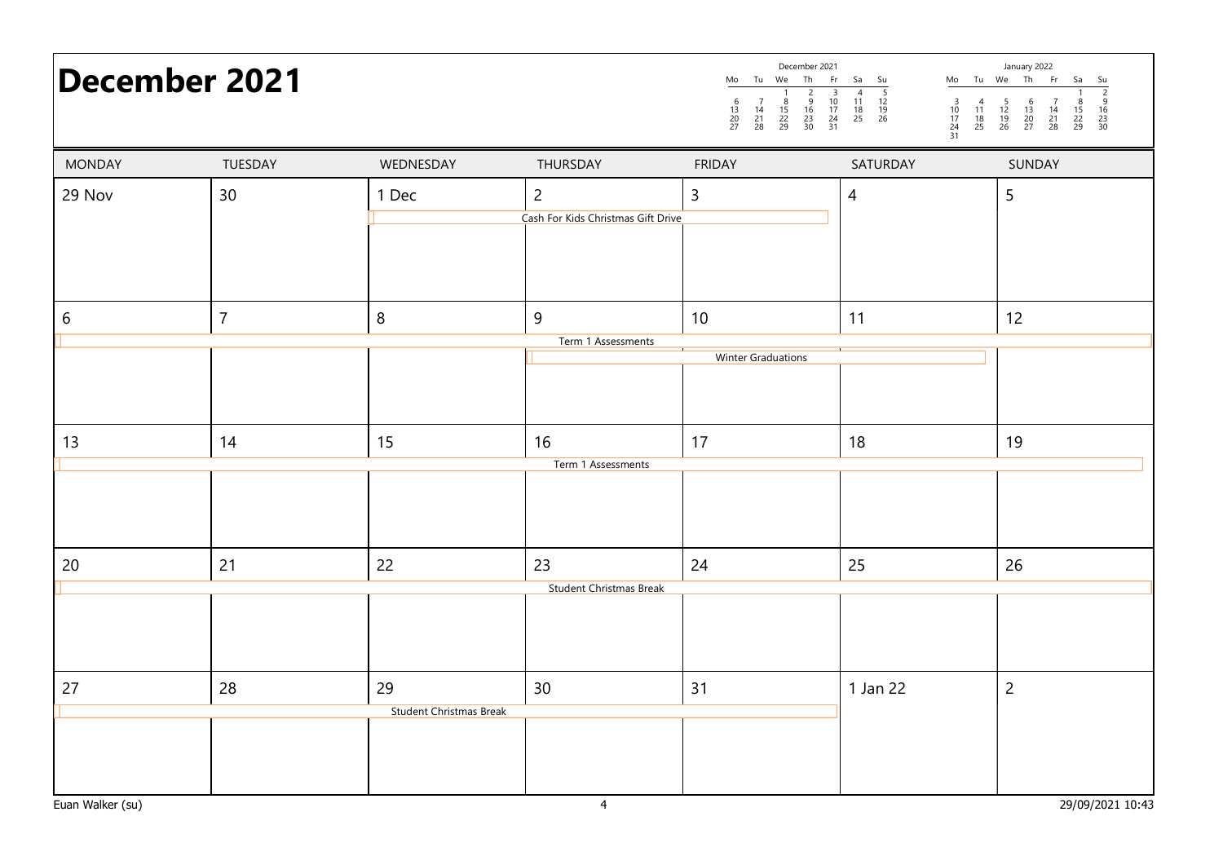|               | <b>December 2021</b> |                                      |                                                      | Mo Tu We Th Fr<br>$\begin{array}{c} 7 \\ 14 \\ 21 \\ 28 \end{array}$<br>$\frac{8}{15}$<br>22<br>29<br>$\begin{array}{c} 6 \\ 13 \\ 20 \\ 27 \end{array}$ | December 2021<br>Sa Su<br>$\begin{array}{@{}c@{\hspace{1em}}c@{\hspace{1em}}c@{\hspace{1em}}c@{\hspace{1em}}c@{\hspace{1em}}c@{\hspace{1em}}c@{\hspace{1em}}c@{\hspace{1em}}c@{\hspace{1em}}c@{\hspace{1em}}c@{\hspace{1em}}c@{\hspace{1em}}c@{\hspace{1em}}c@{\hspace{1em}}c@{\hspace{1em}}c@{\hspace{1em}}c@{\hspace{1em}}c@{\hspace{1em}}c@{\hspace{1em}}c@{\hspace{1em}}c@{\hspace{1em}}c@{\hspace{1em}}c@{\hspace{1em}}c@{\hspace{$<br>$\begin{array}{@{}c@{\hspace{1em}}c@{\hspace{1em}}c@{\hspace{1em}}c@{\hspace{1em}}c@{\hspace{1em}}c@{\hspace{1em}}c@{\hspace{1em}}c@{\hspace{1em}}c@{\hspace{1em}}c@{\hspace{1em}}c@{\hspace{1em}}c@{\hspace{1em}}c@{\hspace{1em}}c@{\hspace{1em}}c@{\hspace{1em}}c@{\hspace{1em}}c@{\hspace{1em}}c@{\hspace{1em}}c@{\hspace{1em}}c@{\hspace{1em}}c@{\hspace{1em}}c@{\hspace{1em}}c@{\hspace{1em}}c@{\hspace{$<br>$\frac{3}{10}$<br>$\frac{17}{24}$<br>$\frac{24}{31}$ | January 2022<br>Mo Tu We Th Fr Sa<br>$\begin{array}{c} 4 \\ 11 \\ 18 \\ 25 \end{array}$ |
|---------------|----------------------|--------------------------------------|------------------------------------------------------|----------------------------------------------------------------------------------------------------------------------------------------------------------|--------------------------------------------------------------------------------------------------------------------------------------------------------------------------------------------------------------------------------------------------------------------------------------------------------------------------------------------------------------------------------------------------------------------------------------------------------------------------------------------------------------------------------------------------------------------------------------------------------------------------------------------------------------------------------------------------------------------------------------------------------------------------------------------------------------------------------------------------------------------------------------------------------------------|-----------------------------------------------------------------------------------------|
| <b>MONDAY</b> | TUESDAY              | WEDNESDAY                            | THURSDAY                                             | <b>FRIDAY</b>                                                                                                                                            | SATURDAY                                                                                                                                                                                                                                                                                                                                                                                                                                                                                                                                                                                                                                                                                                                                                                                                                                                                                                           | SUNDAY                                                                                  |
| 29 Nov        | 30                   | 1 Dec                                | $\overline{2}$<br>Cash For Kids Christmas Gift Drive | $\mathsf{3}$                                                                                                                                             | $\overline{4}$                                                                                                                                                                                                                                                                                                                                                                                                                                                                                                                                                                                                                                                                                                                                                                                                                                                                                                     | 5                                                                                       |
| 6             | $\overline{7}$       | $\,8\,$                              | 9                                                    | 10                                                                                                                                                       | 11                                                                                                                                                                                                                                                                                                                                                                                                                                                                                                                                                                                                                                                                                                                                                                                                                                                                                                                 | 12                                                                                      |
|               |                      |                                      | Term 1 Assessments                                   | <b>Winter Graduations</b>                                                                                                                                |                                                                                                                                                                                                                                                                                                                                                                                                                                                                                                                                                                                                                                                                                                                                                                                                                                                                                                                    |                                                                                         |
| 13            | 14                   | 15                                   | 16<br>Term 1 Assessments                             | 17                                                                                                                                                       | 18                                                                                                                                                                                                                                                                                                                                                                                                                                                                                                                                                                                                                                                                                                                                                                                                                                                                                                                 | 19                                                                                      |
|               |                      |                                      |                                                      |                                                                                                                                                          |                                                                                                                                                                                                                                                                                                                                                                                                                                                                                                                                                                                                                                                                                                                                                                                                                                                                                                                    |                                                                                         |
| 20            | 21                   | 22                                   | 23                                                   | 24                                                                                                                                                       | 25                                                                                                                                                                                                                                                                                                                                                                                                                                                                                                                                                                                                                                                                                                                                                                                                                                                                                                                 | 26                                                                                      |
|               |                      |                                      | <b>Student Christmas Break</b>                       |                                                                                                                                                          |                                                                                                                                                                                                                                                                                                                                                                                                                                                                                                                                                                                                                                                                                                                                                                                                                                                                                                                    |                                                                                         |
| 27            | 28                   | 29<br><b>Student Christmas Break</b> | 30                                                   | 31                                                                                                                                                       | 1 Jan 22                                                                                                                                                                                                                                                                                                                                                                                                                                                                                                                                                                                                                                                                                                                                                                                                                                                                                                           | $\overline{2}$                                                                          |

December 2021